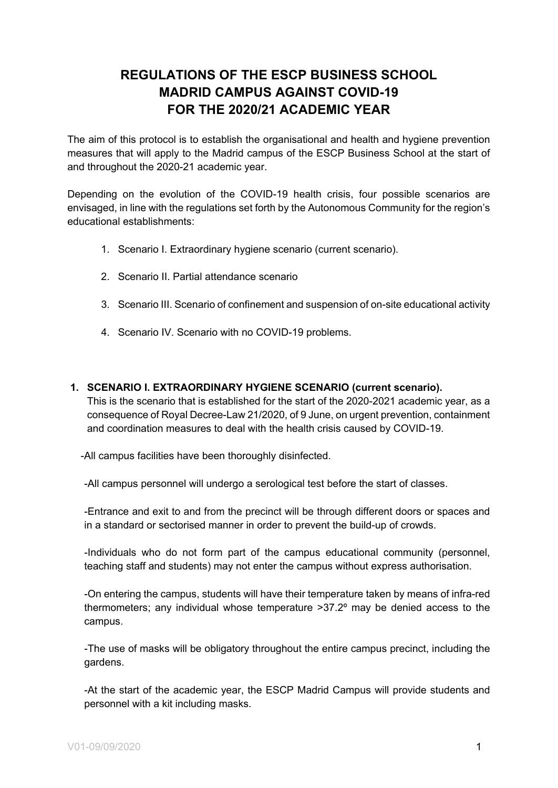# **REGULATIONS OF THE ESCP BUSINESS SCHOOL MADRID CAMPUS AGAINST COVID-19 FOR THE 2020/21 ACADEMIC YEAR**

The aim of this protocol is to establish the organisational and health and hygiene prevention measures that will apply to the Madrid campus of the ESCP Business School at the start of and throughout the 2020-21 academic year.

Depending on the evolution of the COVID-19 health crisis, four possible scenarios are envisaged, in line with the regulations set forth by the Autonomous Community for the region's educational establishments:

- 1. Scenario I. Extraordinary hygiene scenario (current scenario).
- 2. Scenario II. Partial attendance scenario
- 3. Scenario III. Scenario of confinement and suspension of on-site educational activity
- 4. Scenario IV. Scenario with no COVID-19 problems.

#### **1. SCENARIO I. EXTRAORDINARY HYGIENE SCENARIO (current scenario).**

This is the scenario that is established for the start of the 2020-2021 academic year, as a consequence of Royal Decree-Law 21/2020, of 9 June, on urgent prevention, containment and coordination measures to deal with the health crisis caused by COVID-19.

-All campus facilities have been thoroughly disinfected.

-All campus personnel will undergo a serological test before the start of classes.

-Entrance and exit to and from the precinct will be through different doors or spaces and in a standard or sectorised manner in order to prevent the build-up of crowds.

-Individuals who do not form part of the campus educational community (personnel, teaching staff and students) may not enter the campus without express authorisation.

-On entering the campus, students will have their temperature taken by means of infra-red thermometers; any individual whose temperature >37.2º may be denied access to the campus.

-The use of masks will be obligatory throughout the entire campus precinct, including the gardens.

-At the start of the academic year, the ESCP Madrid Campus will provide students and personnel with a kit including masks.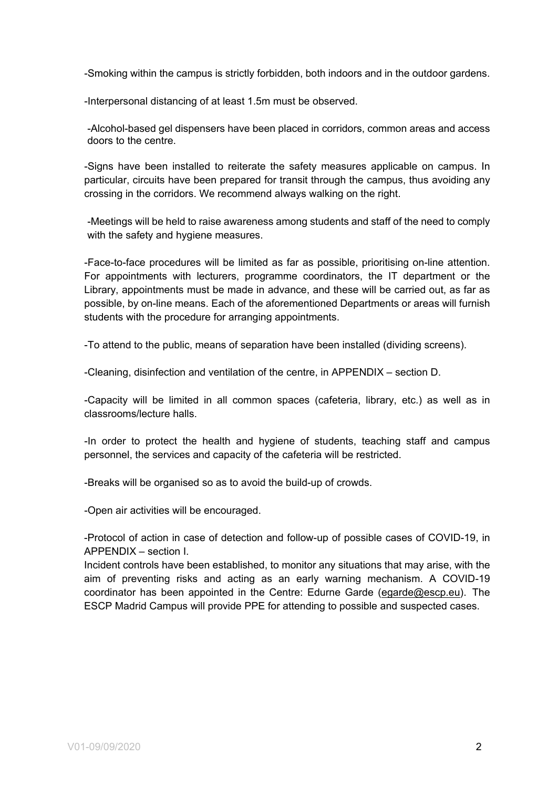-Smoking within the campus is strictly forbidden, both indoors and in the outdoor gardens.

-Interpersonal distancing of at least 1.5m must be observed.

-Alcohol-based gel dispensers have been placed in corridors, common areas and access doors to the centre.

-Signs have been installed to reiterate the safety measures applicable on campus. In particular, circuits have been prepared for transit through the campus, thus avoiding any crossing in the corridors. We recommend always walking on the right.

-Meetings will be held to raise awareness among students and staff of the need to comply with the safety and hygiene measures.

-Face-to-face procedures will be limited as far as possible, prioritising on-line attention. For appointments with lecturers, programme coordinators, the IT department or the Library, appointments must be made in advance, and these will be carried out, as far as possible, by on-line means. Each of the aforementioned Departments or areas will furnish students with the procedure for arranging appointments.

-To attend to the public, means of separation have been installed (dividing screens).

-Cleaning, disinfection and ventilation of the centre, in APPENDIX – section D.

-Capacity will be limited in all common spaces (cafeteria, library, etc.) as well as in classrooms/lecture halls.

-In order to protect the health and hygiene of students, teaching staff and campus personnel, the services and capacity of the cafeteria will be restricted.

-Breaks will be organised so as to avoid the build-up of crowds.

-Open air activities will be encouraged.

-Protocol of action in case of detection and follow-up of possible cases of COVID-19, in APPENDIX – section I.

Incident controls have been established, to monitor any situations that may arise, with the aim of preventing risks and acting as an early warning mechanism. A COVID-19 coordinator has been appointed in the Centre: Edurne Garde [\(egarde@escp.eu\)](mailto:egarde@escp.eu). The ESCP Madrid Campus will provide PPE for attending to possible and suspected cases.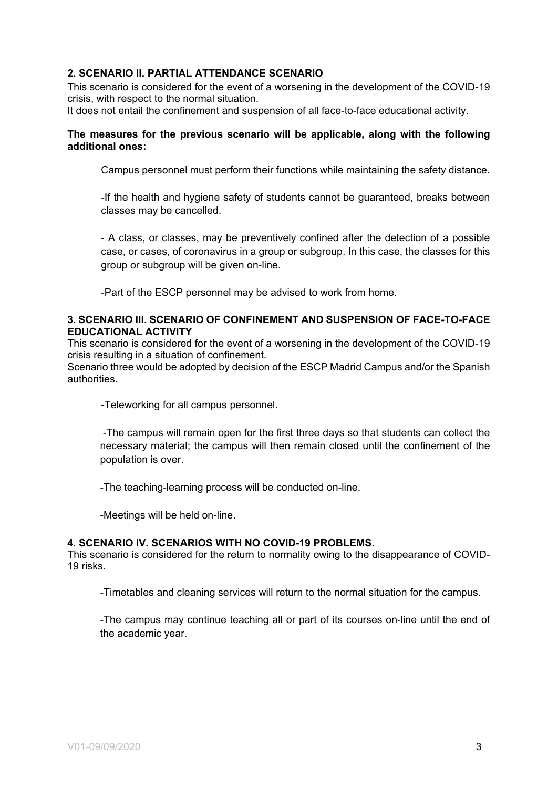# **2. SCENARIO II. PARTIAL ATTENDANCE SCENARIO**

This scenario is considered for the event of a worsening in the development of the COVID-19 crisis, with respect to the normal situation.

It does not entail the confinement and suspension of all face-to-face educational activity.

#### **The measures for the previous scenario will be applicable, along with the following additional ones:**

Campus personnel must perform their functions while maintaining the safety distance.

-If the health and hygiene safety of students cannot be guaranteed, breaks between classes may be cancelled.

- A class, or classes, may be preventively confined after the detection of a possible case, or cases, of coronavirus in a group or subgroup. In this case, the classes for this group or subgroup will be given on-line.

-Part of the ESCP personnel may be advised to work from home.

#### **3. SCENARIO III. SCENARIO OF CONFINEMENT AND SUSPENSION OF FACE-TO-FACE EDUCATIONAL ACTIVITY**

This scenario is considered for the event of a worsening in the development of the COVID-19 crisis resulting in a situation of confinement.

Scenario three would be adopted by decision of the ESCP Madrid Campus and/or the Spanish authorities.

-Teleworking for all campus personnel.

-The campus will remain open for the first three days so that students can collect the necessary material; the campus will then remain closed until the confinement of the population is over.

-The teaching-learning process will be conducted on-line.

-Meetings will be held on-line.

#### **4. SCENARIO IV. SCENARIOS WITH NO COVID-19 PROBLEMS.**

This scenario is considered for the return to normality owing to the disappearance of COVID-19 risks.

-Timetables and cleaning services will return to the normal situation for the campus.

-The campus may continue teaching all or part of its courses on-line until the end of the academic year.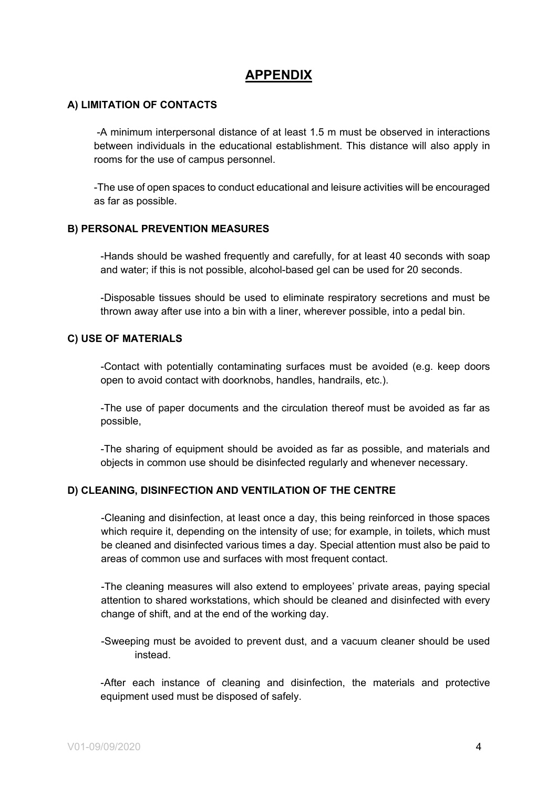# **APPENDIX**

# **A) LIMITATION OF CONTACTS**

-A minimum interpersonal distance of at least 1.5 m must be observed in interactions between individuals in the educational establishment. This distance will also apply in rooms for the use of campus personnel.

-The use of open spaces to conduct educational and leisure activities will be encouraged as far as possible.

#### **B) PERSONAL PREVENTION MEASURES**

-Hands should be washed frequently and carefully, for at least 40 seconds with soap and water; if this is not possible, alcohol-based gel can be used for 20 seconds.

-Disposable tissues should be used to eliminate respiratory secretions and must be thrown away after use into a bin with a liner, wherever possible, into a pedal bin.

#### **C) USE OF MATERIALS**

-Contact with potentially contaminating surfaces must be avoided (e.g. keep doors open to avoid contact with doorknobs, handles, handrails, etc.).

-The use of paper documents and the circulation thereof must be avoided as far as possible,

-The sharing of equipment should be avoided as far as possible, and materials and objects in common use should be disinfected regularly and whenever necessary.

#### **D) CLEANING, DISINFECTION AND VENTILATION OF THE CENTRE**

-Cleaning and disinfection, at least once a day, this being reinforced in those spaces which require it, depending on the intensity of use; for example, in toilets, which must be cleaned and disinfected various times a day. Special attention must also be paid to areas of common use and surfaces with most frequent contact.

-The cleaning measures will also extend to employees' private areas, paying special attention to shared workstations, which should be cleaned and disinfected with every change of shift, and at the end of the working day.

-Sweeping must be avoided to prevent dust, and a vacuum cleaner should be used instead.

-After each instance of cleaning and disinfection, the materials and protective equipment used must be disposed of safely.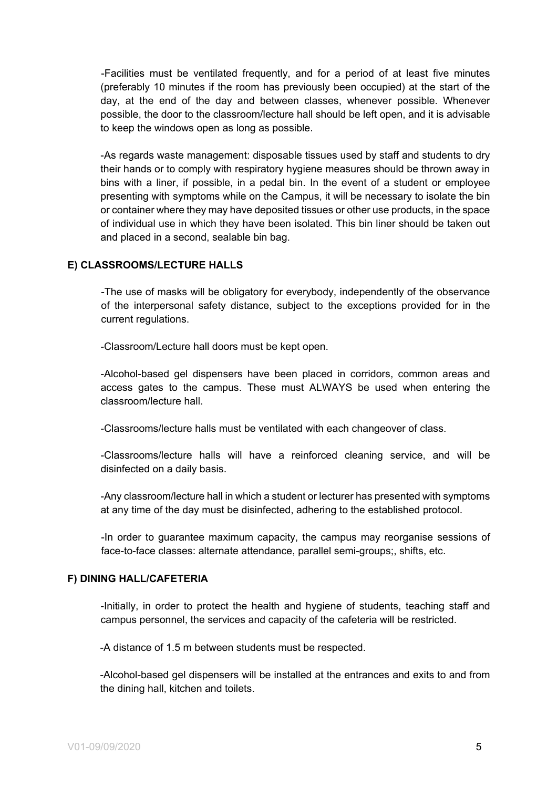-Facilities must be ventilated frequently, and for a period of at least five minutes (preferably 10 minutes if the room has previously been occupied) at the start of the day, at the end of the day and between classes, whenever possible. Whenever possible, the door to the classroom/lecture hall should be left open, and it is advisable to keep the windows open as long as possible.

-As regards waste management: disposable tissues used by staff and students to dry their hands or to comply with respiratory hygiene measures should be thrown away in bins with a liner, if possible, in a pedal bin. In the event of a student or employee presenting with symptoms while on the Campus, it will be necessary to isolate the bin or container where they may have deposited tissues or other use products, in the space of individual use in which they have been isolated. This bin liner should be taken out and placed in a second, sealable bin bag.

#### **E) CLASSROOMS/LECTURE HALLS**

-The use of masks will be obligatory for everybody, independently of the observance of the interpersonal safety distance, subject to the exceptions provided for in the current regulations.

-Classroom/Lecture hall doors must be kept open.

-Alcohol-based gel dispensers have been placed in corridors, common areas and access gates to the campus. These must ALWAYS be used when entering the classroom/lecture hall.

-Classrooms/lecture halls must be ventilated with each changeover of class.

-Classrooms/lecture halls will have a reinforced cleaning service, and will be disinfected on a daily basis.

-Any classroom/lecture hall in which a student or lecturer has presented with symptoms at any time of the day must be disinfected, adhering to the established protocol.

-In order to guarantee maximum capacity, the campus may reorganise sessions of face-to-face classes: alternate attendance, parallel semi-groups;, shifts, etc.

# **F) DINING HALL/CAFETERIA**

-Initially, in order to protect the health and hygiene of students, teaching staff and campus personnel, the services and capacity of the cafeteria will be restricted.

-A distance of 1.5 m between students must be respected.

-Alcohol-based gel dispensers will be installed at the entrances and exits to and from the dining hall, kitchen and toilets.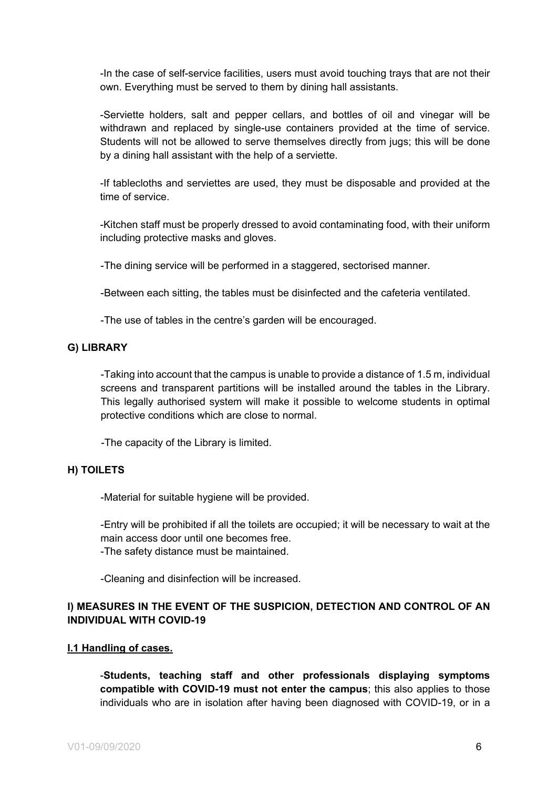-In the case of self-service facilities, users must avoid touching trays that are not their own. Everything must be served to them by dining hall assistants.

-Serviette holders, salt and pepper cellars, and bottles of oil and vinegar will be withdrawn and replaced by single-use containers provided at the time of service. Students will not be allowed to serve themselves directly from jugs; this will be done by a dining hall assistant with the help of a serviette.

-If tablecloths and serviettes are used, they must be disposable and provided at the time of service.

-Kitchen staff must be properly dressed to avoid contaminating food, with their uniform including protective masks and gloves.

-The dining service will be performed in a staggered, sectorised manner.

-Between each sitting, the tables must be disinfected and the cafeteria ventilated.

-The use of tables in the centre's garden will be encouraged.

#### **G) LIBRARY**

-Taking into account that the campus is unable to provide a distance of 1.5 m, individual screens and transparent partitions will be installed around the tables in the Library. This legally authorised system will make it possible to welcome students in optimal protective conditions which are close to normal.

-The capacity of the Library is limited.

#### **H) TOILETS**

-Material for suitable hygiene will be provided.

-Entry will be prohibited if all the toilets are occupied; it will be necessary to wait at the main access door until one becomes free.

-The safety distance must be maintained.

-Cleaning and disinfection will be increased.

# **I) MEASURES IN THE EVENT OF THE SUSPICION, DETECTION AND CONTROL OF AN INDIVIDUAL WITH COVID-19**

#### **I.1 Handling of cases.**

-**Students, teaching staff and other professionals displaying symptoms compatible with COVID-19 must not enter the campus**; this also applies to those individuals who are in isolation after having been diagnosed with COVID-19, or in a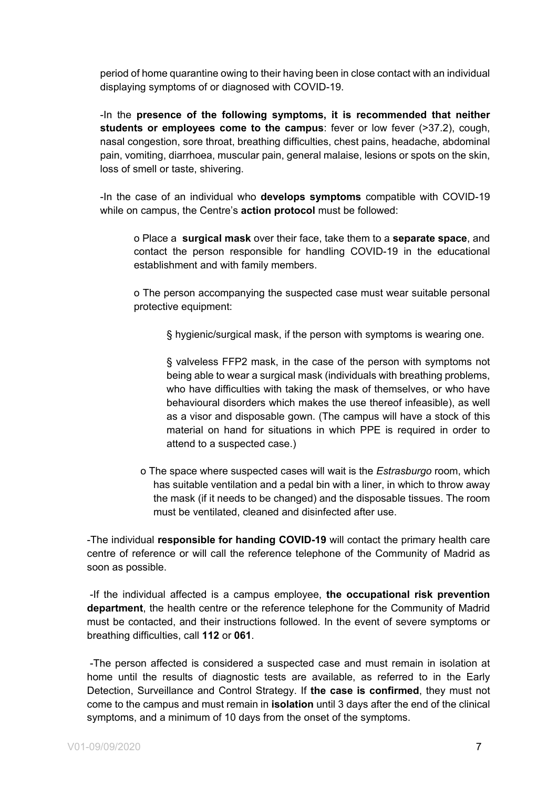period of home quarantine owing to their having been in close contact with an individual displaying symptoms of or diagnosed with COVID-19.

-In the **presence of the following symptoms, it is recommended that neither students or employees come to the campus**: fever or low fever (>37.2), cough, nasal congestion, sore throat, breathing difficulties, chest pains, headache, abdominal pain, vomiting, diarrhoea, muscular pain, general malaise, lesions or spots on the skin, loss of smell or taste, shivering.

-In the case of an individual who **develops symptoms** compatible with COVID-19 while on campus, the Centre's **action protocol** must be followed:

o Place a **surgical mask** over their face, take them to a **separate space**, and contact the person responsible for handling COVID-19 in the educational establishment and with family members.

o The person accompanying the suspected case must wear suitable personal protective equipment:

§ hygienic/surgical mask, if the person with symptoms is wearing one.

§ valveless FFP2 mask, in the case of the person with symptoms not being able to wear a surgical mask (individuals with breathing problems, who have difficulties with taking the mask of themselves, or who have behavioural disorders which makes the use thereof infeasible), as well as a visor and disposable gown. (The campus will have a stock of this material on hand for situations in which PPE is required in order to attend to a suspected case.)

o The space where suspected cases will wait is the *Estrasburgo* room, which has suitable ventilation and a pedal bin with a liner, in which to throw away the mask (if it needs to be changed) and the disposable tissues. The room must be ventilated, cleaned and disinfected after use.

-The individual **responsible for handing COVID-19** will contact the primary health care centre of reference or will call the reference telephone of the Community of Madrid as soon as possible.

-If the individual affected is a campus employee, **the occupational risk prevention department**, the health centre or the reference telephone for the Community of Madrid must be contacted, and their instructions followed. In the event of severe symptoms or breathing difficulties, call **112** or **061**.

-The person affected is considered a suspected case and must remain in isolation at home until the results of diagnostic tests are available, as referred to in the Early Detection, Surveillance and Control Strategy. If **the case is confirmed**, they must not come to the campus and must remain in **isolation** until 3 days after the end of the clinical symptoms, and a minimum of 10 days from the onset of the symptoms.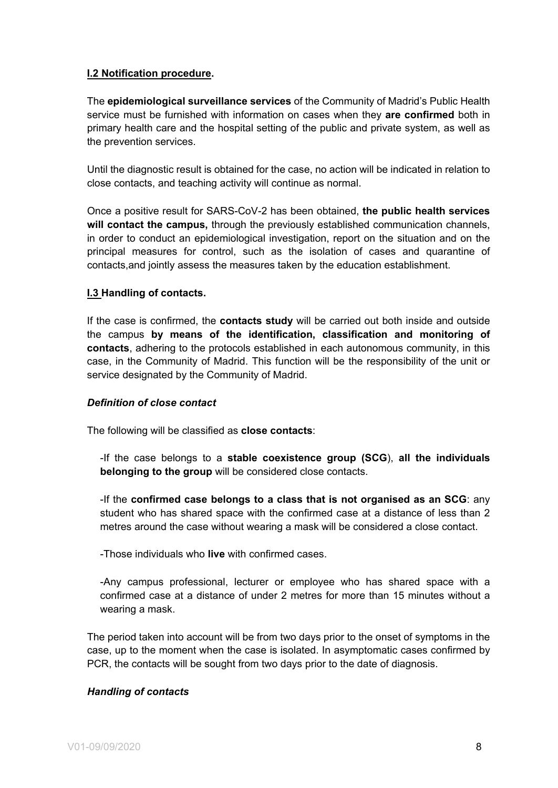# **I.2 Notification procedure.**

The **epidemiological surveillance services** of the Community of Madrid's Public Health service must be furnished with information on cases when they **are confirmed** both in primary health care and the hospital setting of the public and private system, as well as the prevention services.

Until the diagnostic result is obtained for the case, no action will be indicated in relation to close contacts, and teaching activity will continue as normal.

Once a positive result for SARS-CoV-2 has been obtained, **the public health services will contact the campus,** through the previously established communication channels, in order to conduct an epidemiological investigation, report on the situation and on the principal measures for control, such as the isolation of cases and quarantine of contacts,and jointly assess the measures taken by the education establishment.

# **I.3 Handling of contacts.**

If the case is confirmed, the **contacts study** will be carried out both inside and outside the campus **by means of the identification, classification and monitoring of contacts**, adhering to the protocols established in each autonomous community, in this case, in the Community of Madrid. This function will be the responsibility of the unit or service designated by the Community of Madrid.

#### *Definition of close contact*

The following will be classified as **close contacts**:

-If the case belongs to a **stable coexistence group (SCG**), **all the individuals belonging to the group** will be considered close contacts.

-If the **confirmed case belongs to a class that is not organised as an SCG**: any student who has shared space with the confirmed case at a distance of less than 2 metres around the case without wearing a mask will be considered a close contact.

-Those individuals who **live** with confirmed cases.

-Any campus professional, lecturer or employee who has shared space with a confirmed case at a distance of under 2 metres for more than 15 minutes without a wearing a mask.

The period taken into account will be from two days prior to the onset of symptoms in the case, up to the moment when the case is isolated. In asymptomatic cases confirmed by PCR, the contacts will be sought from two days prior to the date of diagnosis.

#### *Handling of contacts*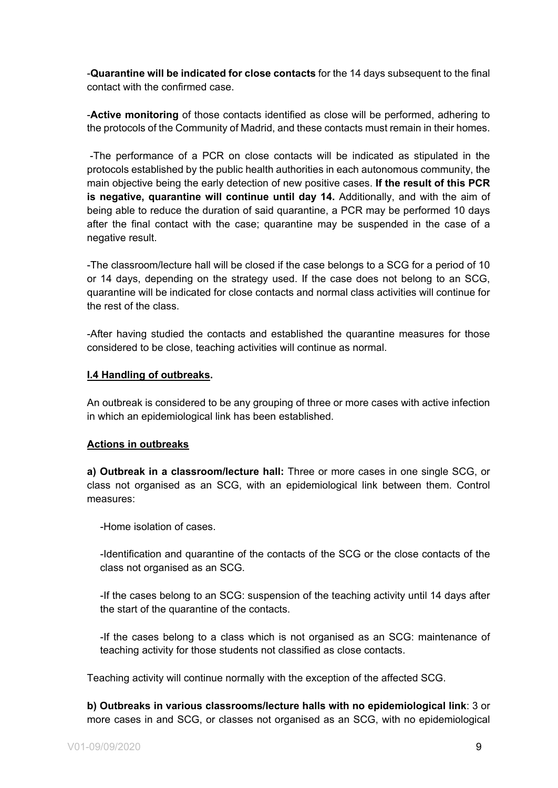-**Quarantine will be indicated for close contacts** for the 14 days subsequent to the final contact with the confirmed case.

-**Active monitoring** of those contacts identified as close will be performed, adhering to the protocols of the Community of Madrid, and these contacts must remain in their homes.

-The performance of a PCR on close contacts will be indicated as stipulated in the protocols established by the public health authorities in each autonomous community, the main objective being the early detection of new positive cases. **If the result of this PCR is negative, quarantine will continue until day 14.** Additionally, and with the aim of being able to reduce the duration of said quarantine, a PCR may be performed 10 days after the final contact with the case; quarantine may be suspended in the case of a negative result.

-The classroom/lecture hall will be closed if the case belongs to a SCG for a period of 10 or 14 days, depending on the strategy used. If the case does not belong to an SCG, quarantine will be indicated for close contacts and normal class activities will continue for the rest of the class.

-After having studied the contacts and established the quarantine measures for those considered to be close, teaching activities will continue as normal.

#### **I.4 Handling of outbreaks.**

An outbreak is considered to be any grouping of three or more cases with active infection in which an epidemiological link has been established.

#### **Actions in outbreaks**

**a) Outbreak in a classroom/lecture hall:** Three or more cases in one single SCG, or class not organised as an SCG, with an epidemiological link between them. Control measures:

-Home isolation of cases.

-Identification and quarantine of the contacts of the SCG or the close contacts of the class not organised as an SCG.

-If the cases belong to an SCG: suspension of the teaching activity until 14 days after the start of the quarantine of the contacts.

-If the cases belong to a class which is not organised as an SCG: maintenance of teaching activity for those students not classified as close contacts.

Teaching activity will continue normally with the exception of the affected SCG.

**b) Outbreaks in various classrooms/lecture halls with no epidemiological link**: 3 or more cases in and SCG, or classes not organised as an SCG, with no epidemiological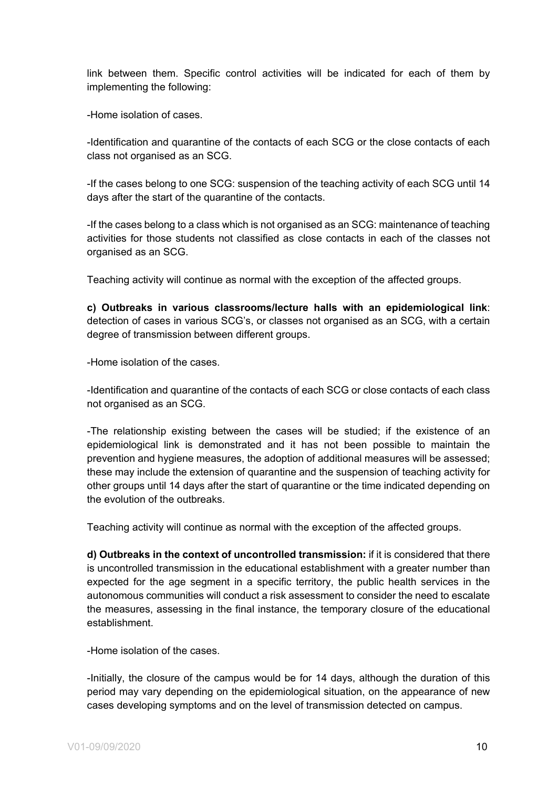link between them. Specific control activities will be indicated for each of them by implementing the following:

-Home isolation of cases.

-Identification and quarantine of the contacts of each SCG or the close contacts of each class not organised as an SCG.

-If the cases belong to one SCG: suspension of the teaching activity of each SCG until 14 days after the start of the quarantine of the contacts.

-If the cases belong to a class which is not organised as an SCG: maintenance of teaching activities for those students not classified as close contacts in each of the classes not organised as an SCG.

Teaching activity will continue as normal with the exception of the affected groups.

**c) Outbreaks in various classrooms/lecture halls with an epidemiological link**: detection of cases in various SCG's, or classes not organised as an SCG, with a certain degree of transmission between different groups.

-Home isolation of the cases.

-Identification and quarantine of the contacts of each SCG or close contacts of each class not organised as an SCG.

-The relationship existing between the cases will be studied; if the existence of an epidemiological link is demonstrated and it has not been possible to maintain the prevention and hygiene measures, the adoption of additional measures will be assessed; these may include the extension of quarantine and the suspension of teaching activity for other groups until 14 days after the start of quarantine or the time indicated depending on the evolution of the outbreaks.

Teaching activity will continue as normal with the exception of the affected groups.

**d) Outbreaks in the context of uncontrolled transmission:** if it is considered that there is uncontrolled transmission in the educational establishment with a greater number than expected for the age segment in a specific territory, the public health services in the autonomous communities will conduct a risk assessment to consider the need to escalate the measures, assessing in the final instance, the temporary closure of the educational establishment.

-Home isolation of the cases.

-Initially, the closure of the campus would be for 14 days, although the duration of this period may vary depending on the epidemiological situation, on the appearance of new cases developing symptoms and on the level of transmission detected on campus.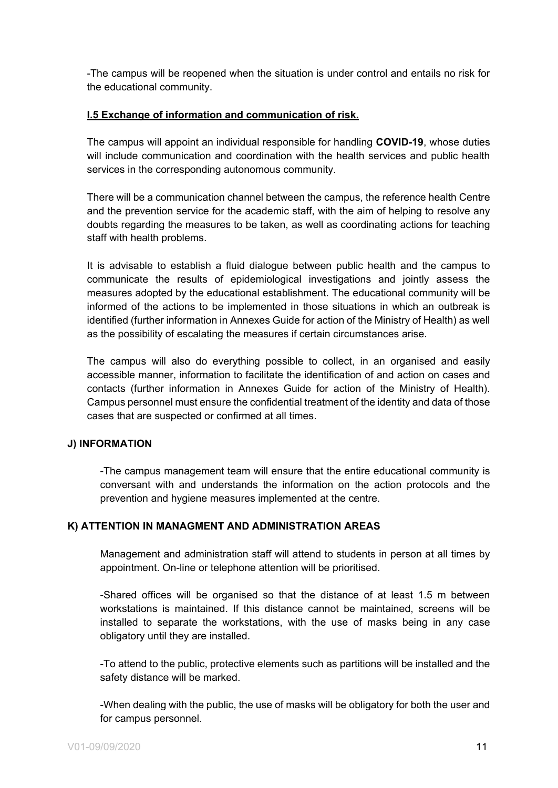-The campus will be reopened when the situation is under control and entails no risk for the educational community.

# **I.5 Exchange of information and communication of risk.**

The campus will appoint an individual responsible for handling **COVID-19**, whose duties will include communication and coordination with the health services and public health services in the corresponding autonomous community.

There will be a communication channel between the campus, the reference health Centre and the prevention service for the academic staff, with the aim of helping to resolve any doubts regarding the measures to be taken, as well as coordinating actions for teaching staff with health problems.

It is advisable to establish a fluid dialogue between public health and the campus to communicate the results of epidemiological investigations and jointly assess the measures adopted by the educational establishment. The educational community will be informed of the actions to be implemented in those situations in which an outbreak is identified (further information in Annexes Guide for action of the Ministry of Health) as well as the possibility of escalating the measures if certain circumstances arise.

The campus will also do everything possible to collect, in an organised and easily accessible manner, information to facilitate the identification of and action on cases and contacts (further information in Annexes Guide for action of the Ministry of Health). Campus personnel must ensure the confidential treatment of the identity and data of those cases that are suspected or confirmed at all times.

#### **J) INFORMATION**

-The campus management team will ensure that the entire educational community is conversant with and understands the information on the action protocols and the prevention and hygiene measures implemented at the centre.

#### **K) ATTENTION IN MANAGMENT AND ADMINISTRATION AREAS**

Management and administration staff will attend to students in person at all times by appointment. On-line or telephone attention will be prioritised.

-Shared offices will be organised so that the distance of at least 1.5 m between workstations is maintained. If this distance cannot be maintained, screens will be installed to separate the workstations, with the use of masks being in any case obligatory until they are installed.

-To attend to the public, protective elements such as partitions will be installed and the safety distance will be marked.

-When dealing with the public, the use of masks will be obligatory for both the user and for campus personnel.